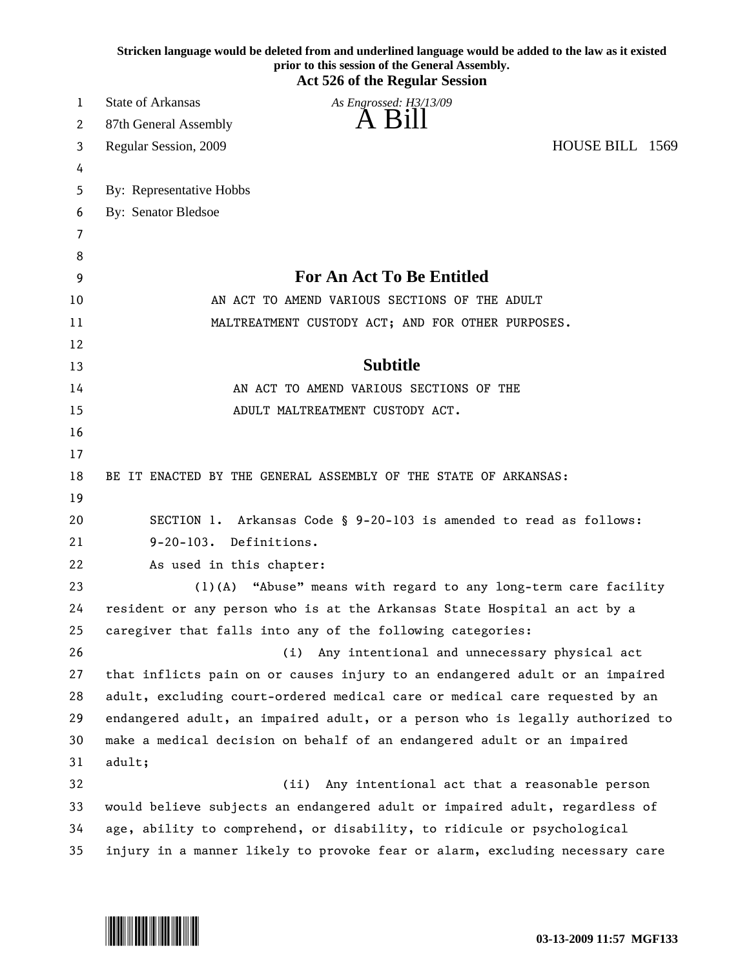|    | Stricken language would be deleted from and underlined language would be added to the law as it existed<br>prior to this session of the General Assembly.<br><b>Act 526 of the Regular Session</b> |
|----|----------------------------------------------------------------------------------------------------------------------------------------------------------------------------------------------------|
| 1  | <b>State of Arkansas</b><br>As Engrossed: H3/13/09                                                                                                                                                 |
| 2  | A Bill<br>87th General Assembly                                                                                                                                                                    |
| 3  | HOUSE BILL 1569<br>Regular Session, 2009                                                                                                                                                           |
| 4  |                                                                                                                                                                                                    |
| 5  | By: Representative Hobbs                                                                                                                                                                           |
| 6  | <b>By: Senator Bledsoe</b>                                                                                                                                                                         |
| 7  |                                                                                                                                                                                                    |
| 8  |                                                                                                                                                                                                    |
| 9  | <b>For An Act To Be Entitled</b>                                                                                                                                                                   |
| 10 | AN ACT TO AMEND VARIOUS SECTIONS OF THE ADULT                                                                                                                                                      |
| 11 | MALTREATMENT CUSTODY ACT; AND FOR OTHER PURPOSES.                                                                                                                                                  |
| 12 |                                                                                                                                                                                                    |
| 13 | <b>Subtitle</b>                                                                                                                                                                                    |
| 14 | AN ACT TO AMEND VARIOUS SECTIONS OF THE                                                                                                                                                            |
| 15 | ADULT MALTREATMENT CUSTODY ACT.                                                                                                                                                                    |
| 16 |                                                                                                                                                                                                    |
| 17 |                                                                                                                                                                                                    |
| 18 | BE IT ENACTED BY THE GENERAL ASSEMBLY OF THE STATE OF ARKANSAS:                                                                                                                                    |
| 19 |                                                                                                                                                                                                    |
| 20 | SECTION 1. Arkansas Code § 9-20-103 is amended to read as follows:                                                                                                                                 |
| 21 | $9 - 20 - 103$ .<br>Definitions.                                                                                                                                                                   |
| 22 | As used in this chapter:                                                                                                                                                                           |
| 23 | "Abuse" means with regard to any long-term care facility<br>$(1)$ (A)                                                                                                                              |
| 24 | resident or any person who is at the Arkansas State Hospital an act by a                                                                                                                           |
| 25 | caregiver that falls into any of the following categories:                                                                                                                                         |
| 26 | (i) Any intentional and unnecessary physical act                                                                                                                                                   |
| 27 | that inflicts pain on or causes injury to an endangered adult or an impaired                                                                                                                       |
| 28 | adult, excluding court-ordered medical care or medical care requested by an                                                                                                                        |
| 29 | endangered adult, an impaired adult, or a person who is legally authorized to                                                                                                                      |
| 30 | make a medical decision on behalf of an endangered adult or an impaired                                                                                                                            |
| 31 | adult;                                                                                                                                                                                             |
| 32 | Any intentional act that a reasonable person<br>(ii)                                                                                                                                               |
| 33 | would believe subjects an endangered adult or impaired adult, regardless of                                                                                                                        |
| 34 | age, ability to comprehend, or disability, to ridicule or psychological                                                                                                                            |
| 35 | injury in a manner likely to provoke fear or alarm, excluding necessary care                                                                                                                       |

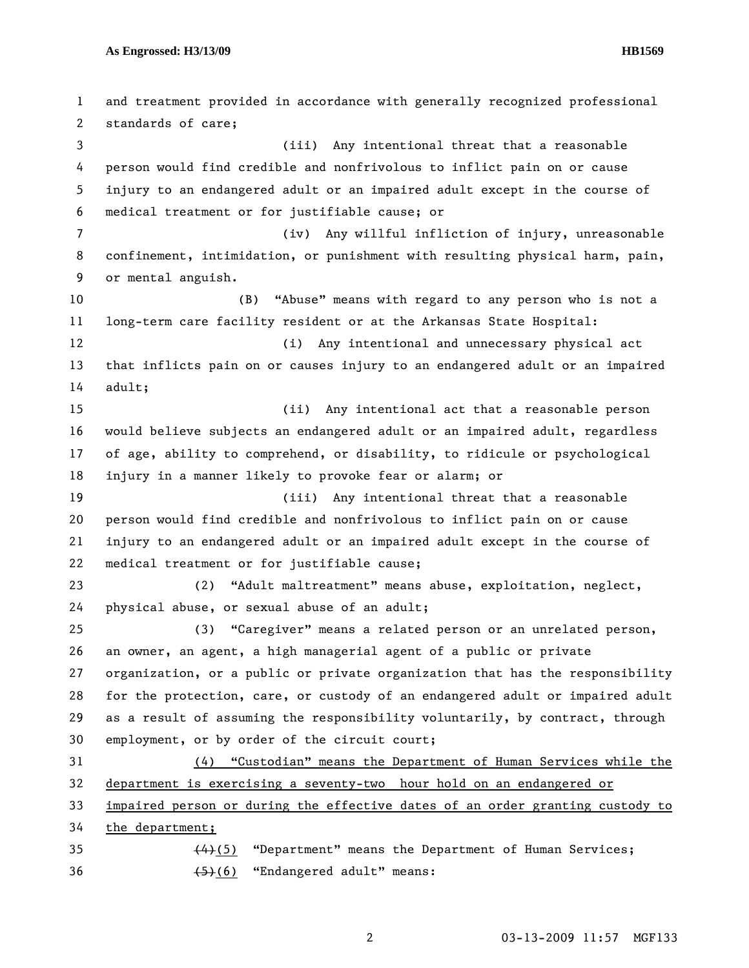**As Engrossed: H3/13/09 HB1569** 

1 and treatment provided in accordance with generally recognized professional 2 standards of care; 3 (iii) Any intentional threat that a reasonable 4 person would find credible and nonfrivolous to inflict pain on or cause 5 injury to an endangered adult or an impaired adult except in the course of 6 medical treatment or for justifiable cause; or 7 (iv) Any willful infliction of injury, unreasonable 8 confinement, intimidation, or punishment with resulting physical harm, pain, 9 or mental anguish. 10 (B) "Abuse" means with regard to any person who is not a 11 long-term care facility resident or at the Arkansas State Hospital: 12 (i) Any intentional and unnecessary physical act 13 that inflicts pain on or causes injury to an endangered adult or an impaired 14 adult; 15 (ii) Any intentional act that a reasonable person 16 would believe subjects an endangered adult or an impaired adult, regardless 17 of age, ability to comprehend, or disability, to ridicule or psychological 18 injury in a manner likely to provoke fear or alarm; or 19 (iii) Any intentional threat that a reasonable 20 person would find credible and nonfrivolous to inflict pain on or cause 21 injury to an endangered adult or an impaired adult except in the course of 22 medical treatment or for justifiable cause; 23 (2) "Adult maltreatment" means abuse, exploitation, neglect, 24 physical abuse, or sexual abuse of an adult; 25 (3) "Caregiver" means a related person or an unrelated person, 26 an owner, an agent, a high managerial agent of a public or private 27 organization, or a public or private organization that has the responsibility 28 for the protection, care, or custody of an endangered adult or impaired adult 29 as a result of assuming the responsibility voluntarily, by contract, through 30 employment, or by order of the circuit court; 31 (4) "Custodian" means the Department of Human Services while the 32 department is exercising a seventy-two hour hold on an endangered or 33 impaired person or during the effective dates of an order granting custody to 34 the department; 35  $(4)$ (5) "Department" means the Department of Human Services; 36 (5)(6) "Endangered adult" means: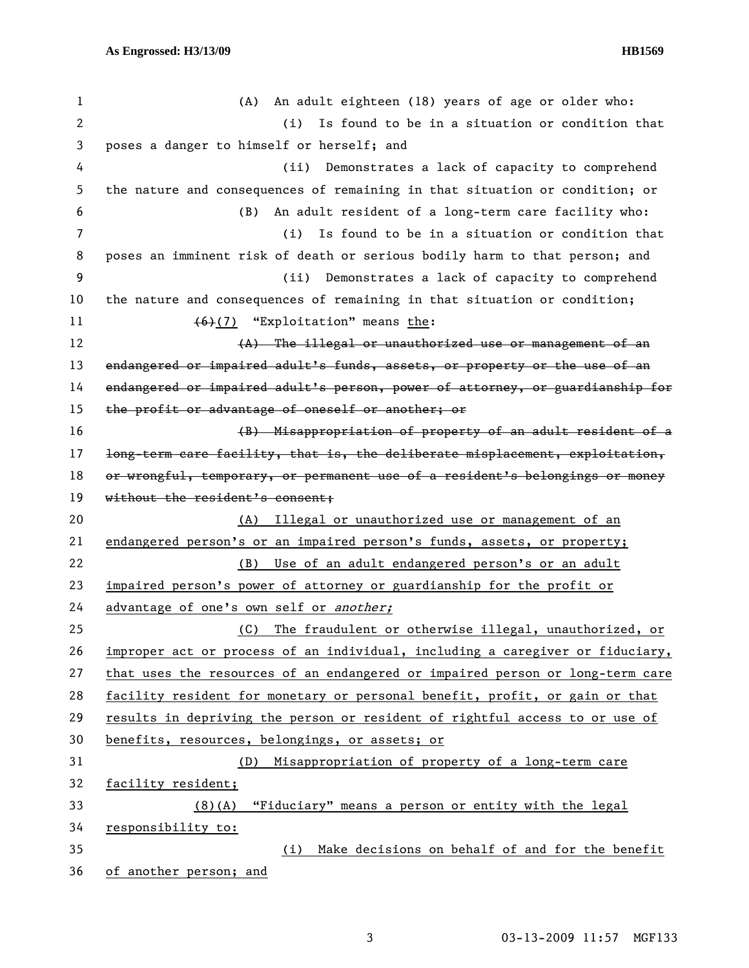1 (A) An adult eighteen (18) years of age or older who: 2 (i) Is found to be in a situation or condition that 3 poses a danger to himself or herself; and 4 (ii) Demonstrates a lack of capacity to comprehend 5 the nature and consequences of remaining in that situation or condition; or 6 (B) An adult resident of a long-term care facility who: 7 (i) Is found to be in a situation or condition that 8 poses an imminent risk of death or serious bodily harm to that person; and 9 (ii) Demonstrates a lack of capacity to comprehend 10 the nature and consequences of remaining in that situation or condition; 11 (6)(7) "Exploitation" means the:  $(A)$  The illegal or unauthorized use or management of an 13 endangered or impaired adult's funds, assets, or property or the use of an 14 endangered or impaired adult's person, power of attorney, or guardianship for 15 the profit or advantage of oneself or another; or 16 (B) Misappropriation of property of an adult resident of a 17 long-term care facility, that is, the deliberate misplacement, exploitation, 18 or wrongful, temporary, or permanent use of a resident's belongings or money 19 without the resident's consent; 20 (A) Illegal or unauthorized use or management of an 21 endangered person's or an impaired person's funds, assets, or property; 22 (B) Use of an adult endangered person's or an adult 23 impaired person's power of attorney or guardianship for the profit or 24 advantage of one's own self or another; 25 (C) The fraudulent or otherwise illegal, unauthorized, or 26 improper act or process of an individual, including a caregiver or fiduciary, 27 that uses the resources of an endangered or impaired person or long-term care 28 facility resident for monetary or personal benefit, profit, or gain or that 29 results in depriving the person or resident of rightful access to or use of 30 benefits, resources, belongings, or assets; or 31 (D) Misappropriation of property of a long-term care 32 facility resident; 33 (8)(A) "Fiduciary" means a person or entity with the legal 34 responsibility to: 35 (i) Make decisions on behalf of and for the benefit 36 of another person; and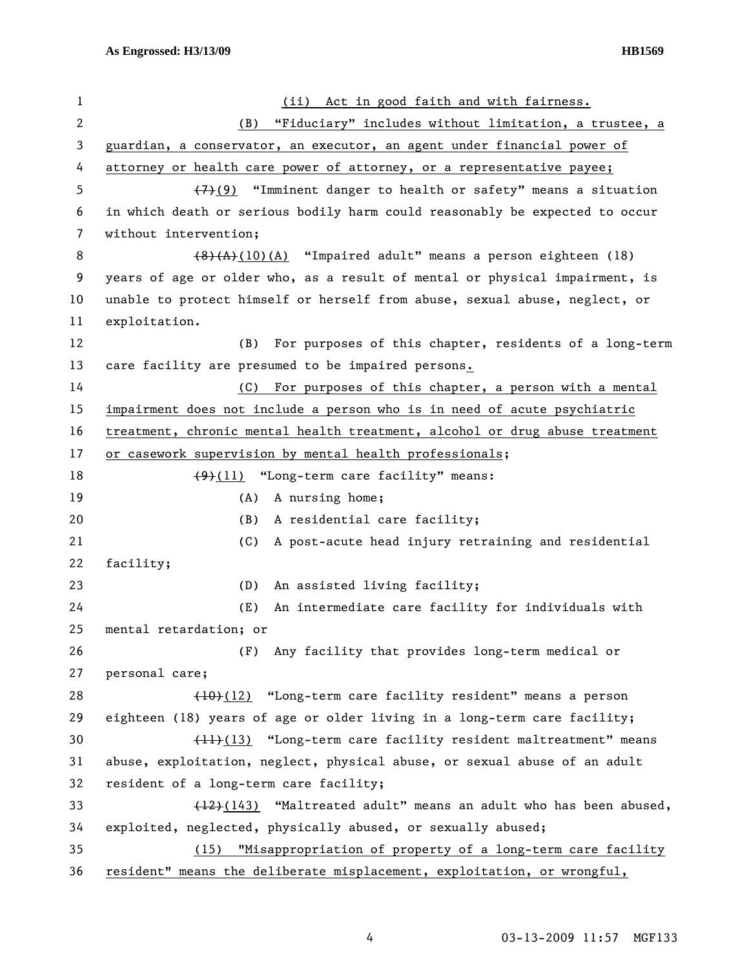| 1  | Act in good faith and with fairness.<br>(ii)                                |
|----|-----------------------------------------------------------------------------|
| 2  | "Fiduciary" includes without limitation, a trustee, a<br>(B)                |
| 3  | guardian, a conservator, an executor, an agent under financial power of     |
| 4  | attorney or health care power of attorney, or a representative payee;       |
| 5  | $(7)$ (9) "Imminent danger to health or safety" means a situation           |
| 6  | in which death or serious bodily harm could reasonably be expected to occur |
| 7  | without intervention;                                                       |
| 8  | $(8)$ (A)(10)(A) "Impaired adult" means a person eighteen (18)              |
| 9  | years of age or older who, as a result of mental or physical impairment, is |
| 10 | unable to protect himself or herself from abuse, sexual abuse, neglect, or  |
| 11 | exploitation.                                                               |
| 12 | For purposes of this chapter, residents of a long-term<br>(B)               |
| 13 | care facility are presumed to be impaired persons.                          |
| 14 | For purposes of this chapter, a person with a mental<br>(C)                 |
| 15 | impairment does not include a person who is in need of acute psychiatric    |
| 16 | treatment, chronic mental health treatment, alcohol or drug abuse treatment |
| 17 | or casework supervision by mental health professionals;                     |
| 18 | $(9)(11)$ "Long-term care facility" means:                                  |
| 19 | A nursing home;<br>(A)                                                      |
| 20 | (B)<br>A residential care facility;                                         |
| 21 | (C)<br>A post-acute head injury retraining and residential                  |
| 22 | facility;                                                                   |
| 23 | An assisted living facility;<br>(D)                                         |
| 24 | (E)<br>An intermediate care facility for individuals with                   |
| 25 | mental retardation; or                                                      |
| 26 | Any facility that provides long-term medical or<br>(F)                      |
| 27 | personal care;                                                              |
| 28 | (10)(12) "Long-term care facility resident" means a person                  |
| 29 | eighteen (18) years of age or older living in a long-term care facility;    |
| 30 | (11)(13) "Long-term care facility resident maltreatment" means              |
| 31 | abuse, exploitation, neglect, physical abuse, or sexual abuse of an adult   |
| 32 | resident of a long-term care facility;                                      |
| 33 | $(12)$ (143) "Maltreated adult" means an adult who has been abused,         |
| 34 | exploited, neglected, physically abused, or sexually abused;                |
| 35 | "Misappropriation of property of a long-term care facility<br>(15)          |
| 36 | resident" means the deliberate misplacement, exploitation, or wrongful,     |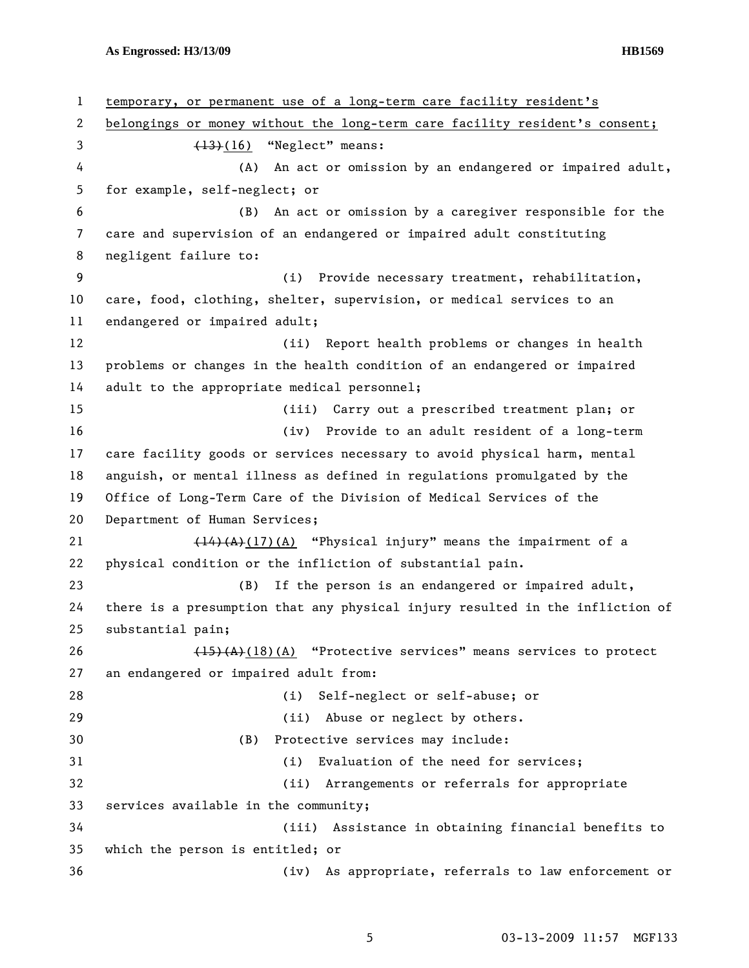**As Engrossed: H3/13/09 HB1569** 

1 temporary, or permanent use of a long-term care facility resident's 2 belongings or money without the long-term care facility resident's consent; 3  $(13)(16)$  "Neglect" means: 4 (A) An act or omission by an endangered or impaired adult, 5 for example, self-neglect; or 6 (B) An act or omission by a caregiver responsible for the 7 care and supervision of an endangered or impaired adult constituting 8 negligent failure to: 9 (i) Provide necessary treatment, rehabilitation, 10 care, food, clothing, shelter, supervision, or medical services to an 11 endangered or impaired adult; 12 (ii) Report health problems or changes in health 13 problems or changes in the health condition of an endangered or impaired 14 adult to the appropriate medical personnel; 15 (iii) Carry out a prescribed treatment plan; or 16 (iv) Provide to an adult resident of a long-term 17 care facility goods or services necessary to avoid physical harm, mental 18 anguish, or mental illness as defined in regulations promulgated by the 19 Office of Long-Term Care of the Division of Medical Services of the 20 Department of Human Services; 21  $\left(14\right)\left(A\right)\left(17\right)\left(A\right)$  "Physical injury" means the impairment of a 22 physical condition or the infliction of substantial pain. 23 (B) If the person is an endangered or impaired adult, 24 there is a presumption that any physical injury resulted in the infliction of 25 substantial pain; 26 (15)(A)(18)(A) "Protective services" means services to protect 27 an endangered or impaired adult from: 28 (i) Self-neglect or self-abuse; or 29 (ii) Abuse or neglect by others. 30 (B) Protective services may include: 31 (i) Evaluation of the need for services; 32 (ii) Arrangements or referrals for appropriate 33 services available in the community; 34 (iii) Assistance in obtaining financial benefits to 35 which the person is entitled; or 36 (iv) As appropriate, referrals to law enforcement or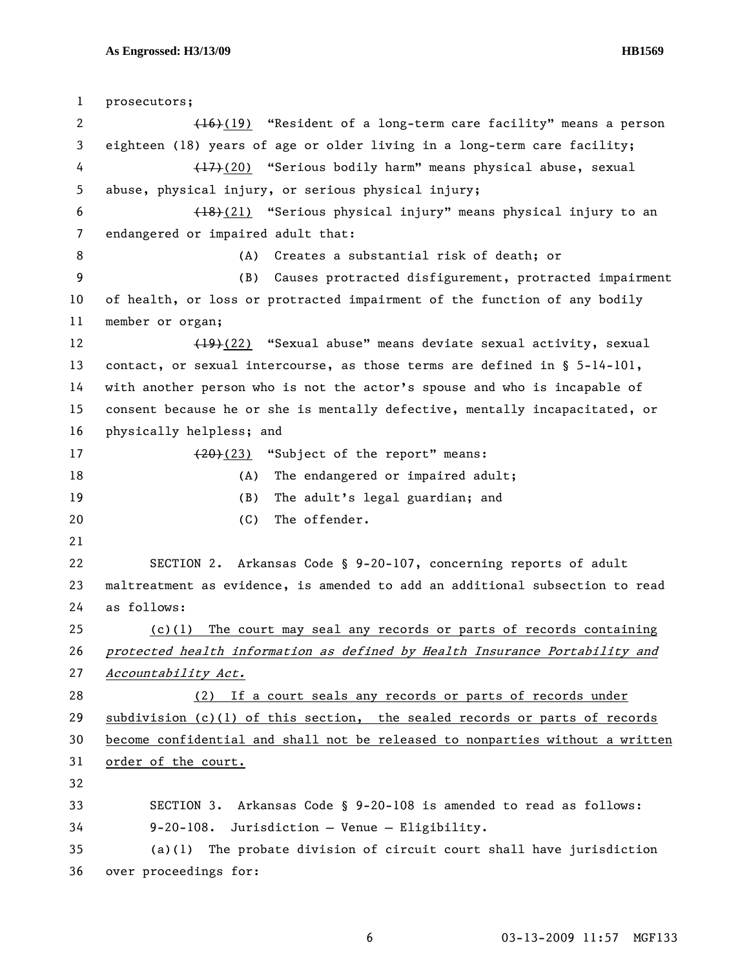1 prosecutors; 2 (16)(19) "Resident of a long-term care facility" means a person 3 eighteen (18) years of age or older living in a long-term care facility; 4 (17)(20) "Serious bodily harm" means physical abuse, sexual 5 abuse, physical injury, or serious physical injury; 6 (18)(21) "Serious physical injury" means physical injury to an 7 endangered or impaired adult that: 8 (A) Creates a substantial risk of death; or 9 (B) Causes protracted disfigurement, protracted impairment 10 of health, or loss or protracted impairment of the function of any bodily 11 member or organ; 12 (19)(22) "Sexual abuse" means deviate sexual activity, sexual 13 contact, or sexual intercourse, as those terms are defined in § 5-14-101, 14 with another person who is not the actor's spouse and who is incapable of 15 consent because he or she is mentally defective, mentally incapacitated, or 16 physically helpless; and 17 (20)(23) "Subject of the report" means: 18 (A) The endangered or impaired adult; 19 (B) The adult's legal guardian; and 20 (C) The offender. 21 22 SECTION 2. Arkansas Code § 9-20-107, concerning reports of adult 23 maltreatment as evidence, is amended to add an additional subsection to read 24 as follows: 25 (c)(1) The court may seal any records or parts of records containing 26 protected health information as defined by Health Insurance Portability and 27 Accountability Act. 28 (2) If a court seals any records or parts of records under 29 subdivision (c)(1) of this section, the sealed records or parts of records 30 become confidential and shall not be released to nonparties without a written 31 order of the court. 32 33 SECTION 3. Arkansas Code § 9-20-108 is amended to read as follows: 34 9-20-108. Jurisdiction — Venue — Eligibility. 35 (a)(1) The probate division of circuit court shall have jurisdiction 36 over proceedings for: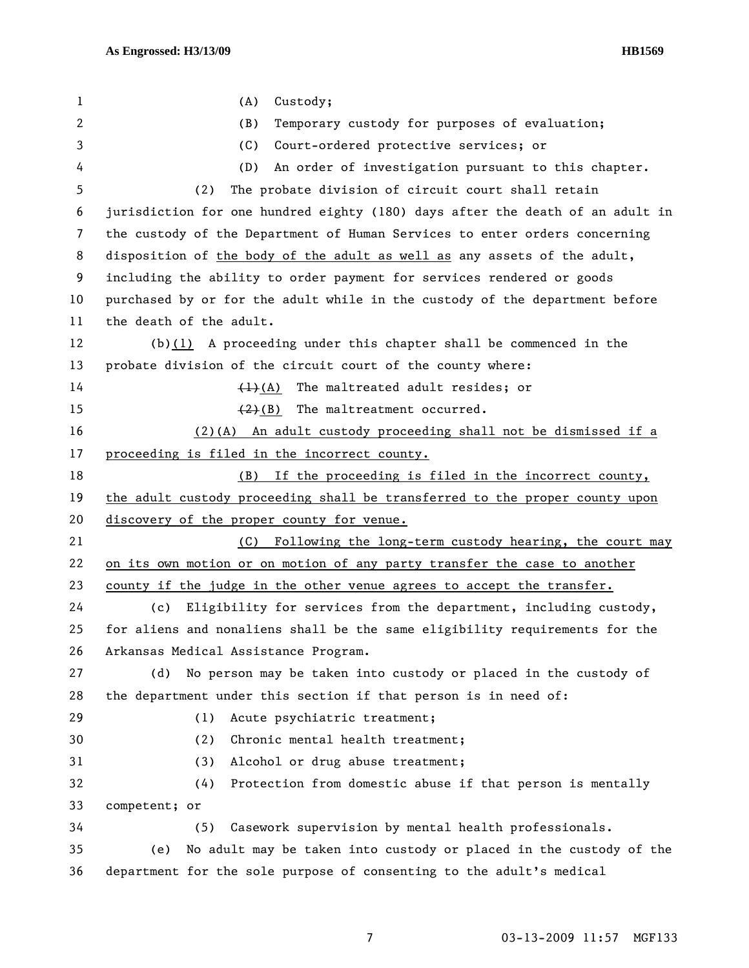| 1  | (A)<br>Custody;                                                               |
|----|-------------------------------------------------------------------------------|
| 2  | (B)<br>Temporary custody for purposes of evaluation;                          |
| 3  | (C)<br>Court-ordered protective services; or                                  |
| 4  | (D)<br>An order of investigation pursuant to this chapter.                    |
| 5  | The probate division of circuit court shall retain<br>(2)                     |
| 6  | jurisdiction for one hundred eighty (180) days after the death of an adult in |
| 7  | the custody of the Department of Human Services to enter orders concerning    |
| 8  | disposition of the body of the adult as well as any assets of the adult,      |
| 9  | including the ability to order payment for services rendered or goods         |
| 10 | purchased by or for the adult while in the custody of the department before   |
| 11 | the death of the adult.                                                       |
| 12 | $(b)(1)$ A proceeding under this chapter shall be commenced in the            |
| 13 | probate division of the circuit court of the county where:                    |
| 14 | $\frac{(1)(A)}{(A)}$ The maltreated adult resides; or                         |
| 15 | The maltreatment occurred.<br>$(2)$ (B)                                       |
| 16 | $(2)(A)$ An adult custody proceeding shall not be dismissed if a              |
| 17 | proceeding is filed in the incorrect county.                                  |
| 18 | If the proceeding is filed in the incorrect county,<br>(B)                    |
| 19 | the adult custody proceeding shall be transferred to the proper county upon   |
| 20 | discovery of the proper county for venue.                                     |
| 21 | Following the long-term custody hearing, the court may<br>(C)                 |
| 22 | on its own motion or on motion of any party transfer the case to another      |
| 23 | county if the judge in the other venue agrees to accept the transfer.         |
| 24 | Eligibility for services from the department, including custody,<br>(c)       |
| 25 | for aliens and nonaliens shall be the same eligibility requirements for the   |
| 26 | Arkansas Medical Assistance Program.                                          |
| 27 | No person may be taken into custody or placed in the custody of<br>(d)        |
| 28 | the department under this section if that person is in need of:               |
| 29 | (1)<br>Acute psychiatric treatment;                                           |
| 30 | Chronic mental health treatment;<br>(2)                                       |
| 31 | Alcohol or drug abuse treatment;<br>(3)                                       |
| 32 | Protection from domestic abuse if that person is mentally<br>(4)              |
| 33 | competent; or                                                                 |
| 34 | Casework supervision by mental health professionals.<br>(5)                   |
| 35 | No adult may be taken into custody or placed in the custody of the<br>(e)     |
| 36 | department for the sole purpose of consenting to the adult's medical          |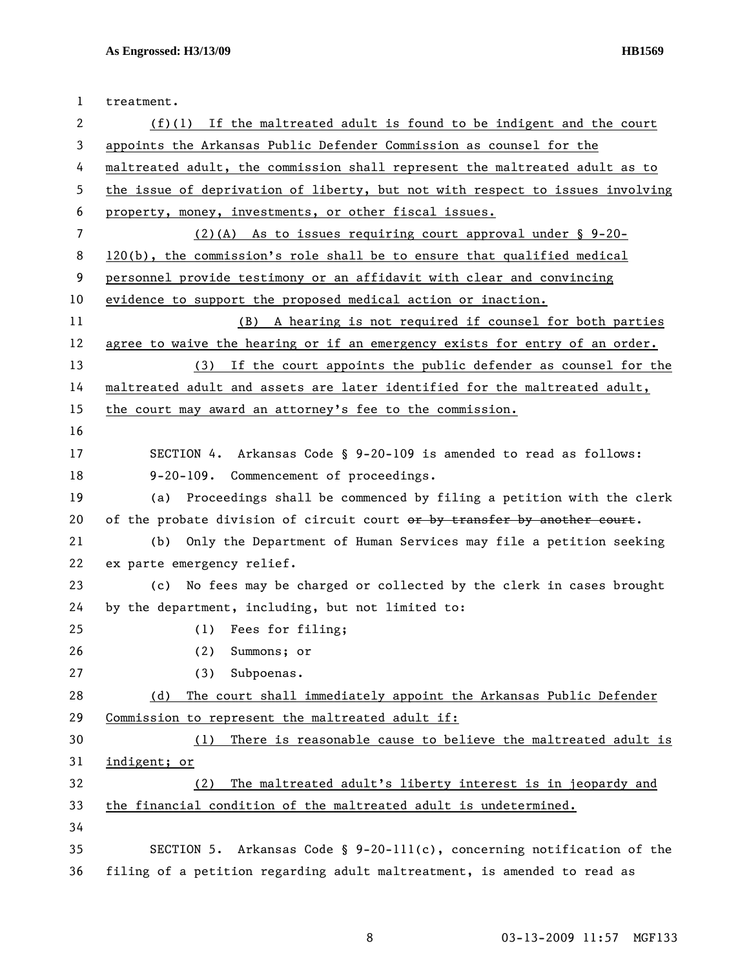| $\mathbf{1}$          | treatment.                                                                    |
|-----------------------|-------------------------------------------------------------------------------|
| $\mathbf{2}^{\prime}$ | $(f)(1)$ If the maltreated adult is found to be indigent and the court        |
| 3                     | appoints the Arkansas Public Defender Commission as counsel for the           |
| 4                     | maltreated adult, the commission shall represent the maltreated adult as to   |
| 5                     | the issue of deprivation of liberty, but not with respect to issues involving |
| 6                     | property, money, investments, or other fiscal issues.                         |
| 7                     | $(2)(A)$ As to issues requiring court approval under § 9-20-                  |
| 8                     | $120(b)$ , the commission's role shall be to ensure that qualified medical    |
| 9                     | personnel provide testimony or an affidavit with clear and convincing         |
| 10                    | evidence to support the proposed medical action or inaction.                  |
| 11                    | (B) A hearing is not required if counsel for both parties                     |
| 12                    | agree to waive the hearing or if an emergency exists for entry of an order.   |
| 13                    | (3) If the court appoints the public defender as counsel for the              |
| 14                    | maltreated adult and assets are later identified for the maltreated adult,    |
| 15                    | the court may award an attorney's fee to the commission.                      |
| 16                    |                                                                               |
| 17                    | SECTION 4. Arkansas Code § 9-20-109 is amended to read as follows:            |
| 18                    | 9-20-109. Commencement of proceedings.                                        |
| 19                    | (a) Proceedings shall be commenced by filing a petition with the clerk        |
| 20                    | of the probate division of circuit court or by transfer by another court.     |
| 21                    | Only the Department of Human Services may file a petition seeking<br>(b)      |
| 22                    | ex parte emergency relief.                                                    |
| 23                    | (c) No fees may be charged or collected by the clerk in cases brought         |
| 24                    | by the department, including, but not limited to:                             |
| 25                    | (1) Fees for filing;                                                          |
| 26                    | Summons; or<br>(2)                                                            |
| 27                    | Subpoenas.<br>(3)                                                             |
| 28                    | The court shall immediately appoint the Arkansas Public Defender<br>(d)       |
| 29                    | Commission to represent the maltreated adult if:                              |
| 30                    | There is reasonable cause to believe the maltreated adult is<br>(1)           |
| 31                    | indigent; or                                                                  |
| 32                    | The maltreated adult's liberty interest is in jeopardy and<br>(2)             |
| 33                    | the financial condition of the maltreated adult is undetermined.              |
| 34                    |                                                                               |
| 35                    | Arkansas Code § $9-20-111(c)$ , concerning notification of the<br>SECTION 5.  |
| 36                    | filing of a petition regarding adult maltreatment, is amended to read as      |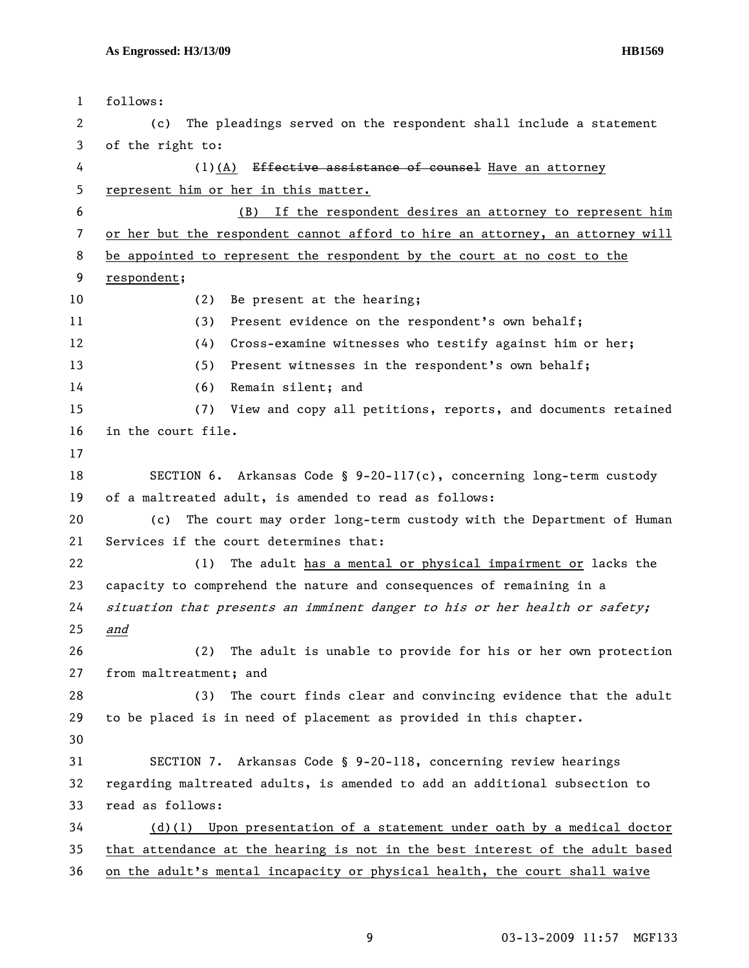| $\mathbf{1}$ | follows:                                                                      |
|--------------|-------------------------------------------------------------------------------|
| 2            | The pleadings served on the respondent shall include a statement<br>(c)       |
| 3            | of the right to:                                                              |
| 4            | $(1)(A)$ Effective assistance of counsel Have an attorney                     |
| 5            | represent him or her in this matter.                                          |
| 6            | If the respondent desires an attorney to represent him<br>(B)                 |
| 7            | or her but the respondent cannot afford to hire an attorney, an attorney will |
| 8            | be appointed to represent the respondent by the court at no cost to the       |
| 9            | respondent;                                                                   |
| 10           | Be present at the hearing;<br>(2)                                             |
| 11           | Present evidence on the respondent's own behalf;<br>(3)                       |
| 12           | Cross-examine witnesses who testify against him or her;<br>(4)                |
| 13           | Present witnesses in the respondent's own behalf;<br>(5)                      |
| 14           | (6)<br>Remain silent; and                                                     |
| 15           | (7) View and copy all petitions, reports, and documents retained              |
| 16           | in the court file.                                                            |
| 17           |                                                                               |
| 18           | SECTION 6. Arkansas Code § $9-20-117(c)$ , concerning long-term custody       |
| 19           | of a maltreated adult, is amended to read as follows:                         |
| 20           | The court may order long-term custody with the Department of Human<br>(c)     |
| 21           | Services if the court determines that:                                        |
| 22           | The adult has a mental or physical impairment or lacks the<br>(1)             |
| 23           | capacity to comprehend the nature and consequences of remaining in a          |
| 24           | situation that presents an imminent danger to his or her health or safety;    |
| 25           | and                                                                           |
| 26           | The adult is unable to provide for his or her own protection<br>(2)           |
| 27           | from maltreatment; and                                                        |
| 28           | (3)<br>The court finds clear and convincing evidence that the adult           |
| 29           | to be placed is in need of placement as provided in this chapter.             |
| 30           |                                                                               |
| 31           | SECTION 7. Arkansas Code § 9-20-118, concerning review hearings               |
| 32           | regarding maltreated adults, is amended to add an additional subsection to    |
| 33           | read as follows:                                                              |
| 34           | $(d)(1)$ Upon presentation of a statement under oath by a medical doctor      |
| 35           | that attendance at the hearing is not in the best interest of the adult based |
| 36           | on the adult's mental incapacity or physical health, the court shall waive    |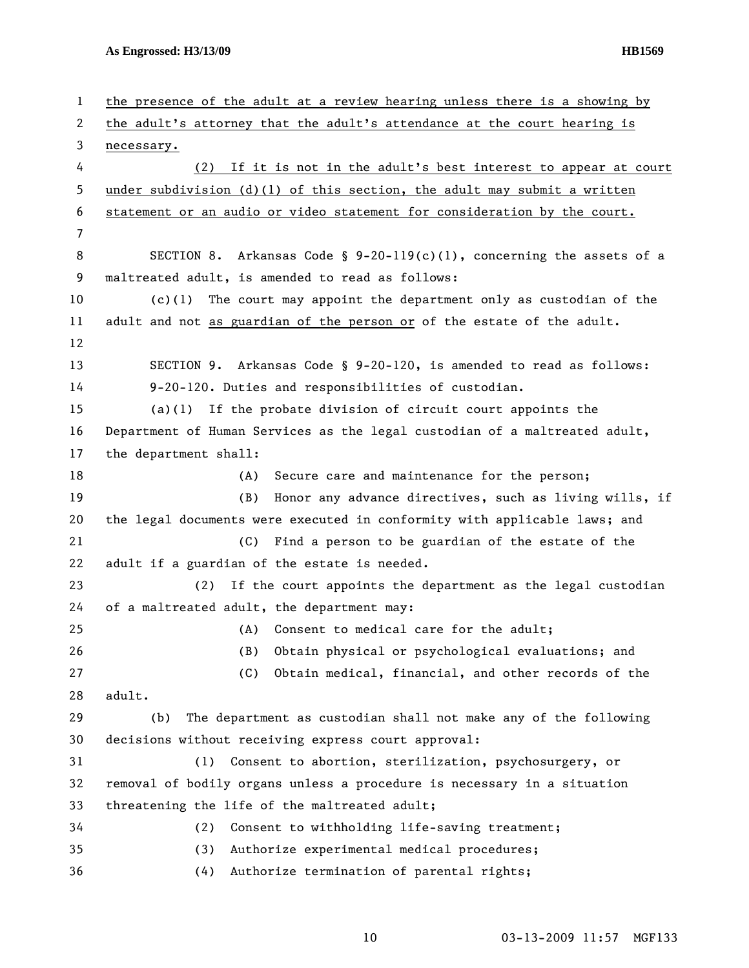**As Engrossed: H3/13/09 HB1569** 

| $\mathbf{1}$ | the presence of the adult at a review hearing unless there is a showing by |
|--------------|----------------------------------------------------------------------------|
| 2            | the adult's attorney that the adult's attendance at the court hearing is   |
| 3            | necessary.                                                                 |
| 4            | (2) If it is not in the adult's best interest to appear at court           |
| 5            | under subdivision $(d)(1)$ of this section, the adult may submit a written |
| 6            | statement or an audio or video statement for consideration by the court.   |
| 7            |                                                                            |
| 8            | SECTION 8. Arkansas Code § $9-20-119(c)(1)$ , concerning the assets of a   |
| 9            | maltreated adult, is amended to read as follows:                           |
| 10           | The court may appoint the department only as custodian of the<br>(c)(1)    |
| 11           | adult and not as guardian of the person or of the estate of the adult.     |
| 12           |                                                                            |
| 13           | SECTION 9. Arkansas Code § 9-20-120, is amended to read as follows:        |
| 14           | 9-20-120. Duties and responsibilities of custodian.                        |
| 15           | $(a)(1)$ If the probate division of circuit court appoints the             |
| 16           | Department of Human Services as the legal custodian of a maltreated adult, |
| 17           | the department shall:                                                      |
| 18           | Secure care and maintenance for the person;<br>(A)                         |
| 19           | (B)<br>Honor any advance directives, such as living wills, if              |
| 20           | the legal documents were executed in conformity with applicable laws; and  |
| 21           | Find a person to be guardian of the estate of the<br>(C)                   |
| 22           | adult if a guardian of the estate is needed.                               |
| 23           | If the court appoints the department as the legal custodian<br>(2)         |
| 24           | of a maltreated adult, the department may:                                 |
| 25           | (A) Consent to medical care for the adult;                                 |
| 26           | Obtain physical or psychological evaluations; and<br>(B)                   |
| 27           | (C)<br>Obtain medical, financial, and other records of the                 |
| 28           | adult.                                                                     |
| 29           | The department as custodian shall not make any of the following<br>(b)     |
| 30           | decisions without receiving express court approval:                        |
| 31           | Consent to abortion, sterilization, psychosurgery, or<br>(1)               |
| 32           | removal of bodily organs unless a procedure is necessary in a situation    |
| 33           | threatening the life of the maltreated adult;                              |
| 34           | Consent to withholding life-saving treatment;<br>(2)                       |
| 35           | (3)<br>Authorize experimental medical procedures;                          |
| 36           | Authorize termination of parental rights;<br>(4)                           |